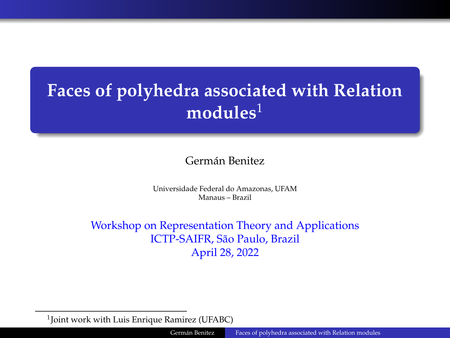# <span id="page-0-0"></span>**Faces of polyhedra associated with Relation modules**<sup>1</sup>

Germán Benitez

Universidade Federal do Amazonas, UFAM Manaus – Brazil

Workshop on Representation Theory and Applications ICTP-SAIFR, São Paulo, Brazil April 28, 2022

<sup>1</sup> Joint work with Luis Enrique Ramirez (UFABC)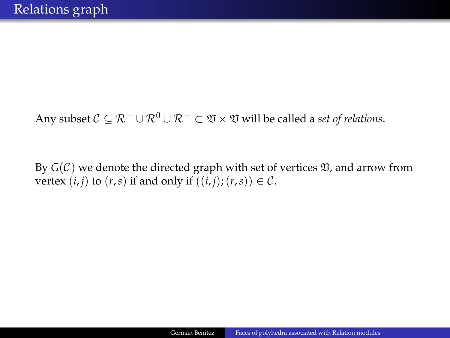Any subset  $C \subseteq \mathcal{R}^- \cup \mathcal{R}^0 \cup \mathcal{R}^+ \subset \mathfrak{V} \times \mathfrak{V}$  will be called a *set of relations*.

By  $G(\mathcal{C})$  we denote the directed graph with set of vertices  $\mathfrak{V}$ , and arrow from vertex  $(i, j)$  to  $(r, s)$  if and only if  $((i, j); (r, s)) \in \mathcal{C}$ .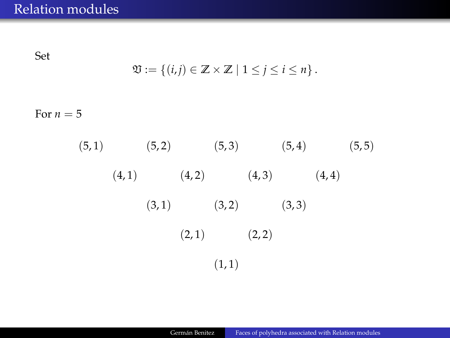Set

$$
\mathfrak{V} := \left\{ (i,j) \in \mathbb{Z} \times \mathbb{Z} \mid 1 \leq j \leq i \leq n \right\}.
$$

For  $n=5$ 

 $(5, 1)$   $(5, 2)$   $(5, 3)$   $(5, 4)$   $(5, 5)$  $(4, 1)$   $(4, 2)$   $(4, 3)$   $(4, 4)$  $(3, 1)$   $(3, 2)$   $(3, 3)$  $(2, 1)$   $(2, 2)$  $(1, 1)$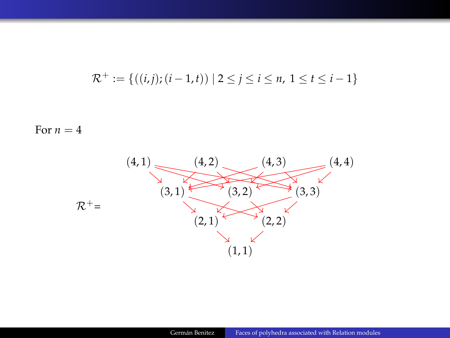$$
\mathcal{R}^+ := \{((i,j); (i-1,t)) \mid 2 \leq j \leq i \leq n, 1 \leq t \leq i-1\}
$$

For  $n=4$ 

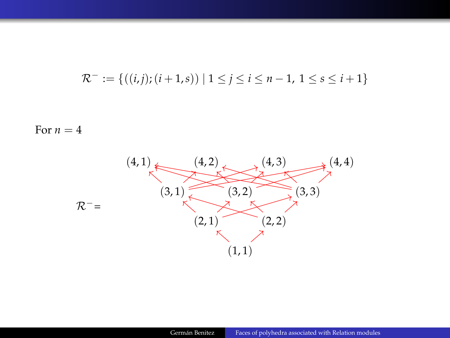$$
\mathcal{R}^- := \{((i,j); (i+1,s)) \mid 1 \le j \le i \le n-1, 1 \le s \le i+1\}
$$

For  $n=4$ 

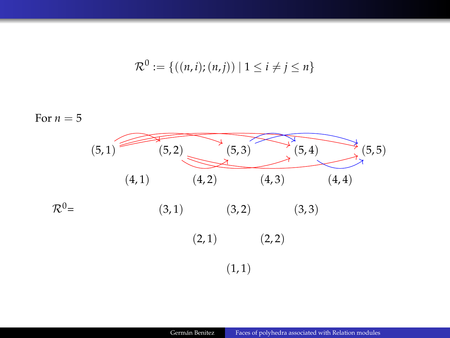$$
\mathcal{R}^0 := \{ ((n,i); (n,j)) \mid 1 \le i \ne j \le n \}
$$

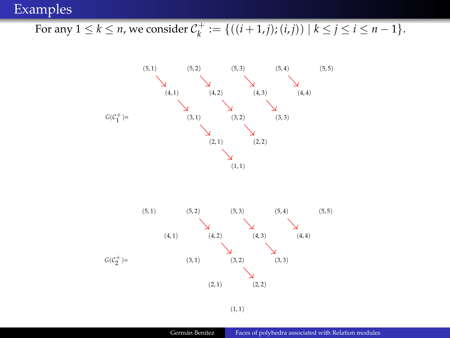## For any  $1 \le k \le n$ , we consider  $C_k^+ := \{((i+1,j);(i,j)) \mid k \le j \le i \le n-1\}.$



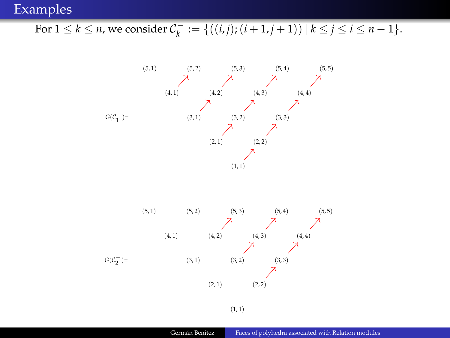#### Examples

## For  $1 \le k \le n$ , we consider  $C_k^- := \{((i,j);(i+1,j+1)) \mid k \le j \le i \le n-1\}.$



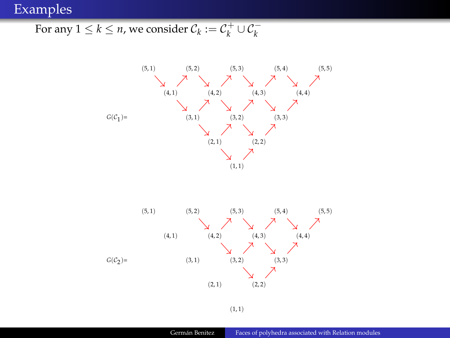## Examples

For any  $1 \leq k \leq n$ , we consider  $\mathcal{C}_k := \mathcal{C}_k^+ \cup \mathcal{C}_k^-$ 



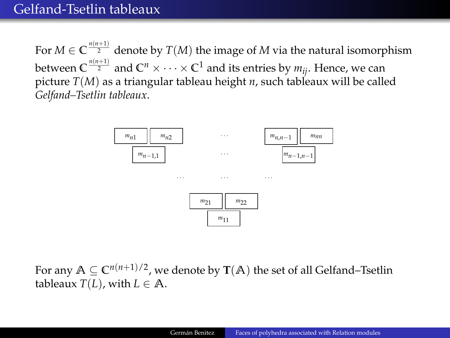For  $M \in \mathbb{C}^{\frac{n(n+1)}{2}}$  denote by  $T(M)$  the image of  $M$  via the natural isomorphism between  $C^{\frac{n(n+1)}{2}}$  and  $C^n\times\cdots\times C^1$  and its entries by  $m_{ij}.$  Hence, we can picture *T*(*M*) as a triangular tableau height *n*, such tableaux will be called *Gelfand–Tsetlin tableaux*.



For any  $A \subseteq \mathbb{C}^{n(n+1)/2}$ , we denote by  $\mathbf{T}(A)$  the set of all Gelfand–Tsetlin tableaux  $T(L)$ , with  $L \in \mathbb{A}$ .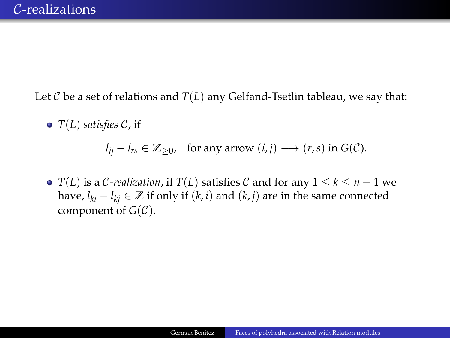Let  $\mathcal C$  be a set of relations and  $T(L)$  any Gelfand-Tsetlin tableau, we say that:

*T*(*L*) *satisfies* C, if

 $l_{ij} - l_{rs} \in \mathbb{Z}_{\geq 0}$ , for any arrow  $(i, j) \longrightarrow (r, s)$  in  $G(\mathcal{C})$ .

 $\bullet$  *T*(*L*) is a *C*-realization, if *T*(*L*) satisfies *C* and for any  $1 \leq k \leq n-1$  we have,  $l_{ki}$  −  $l_{kj}$  ∈  $\mathbb{Z}$  if only if  $(k, i)$  and  $(k, j)$  are in the same connected component of  $G(\mathcal{C})$ .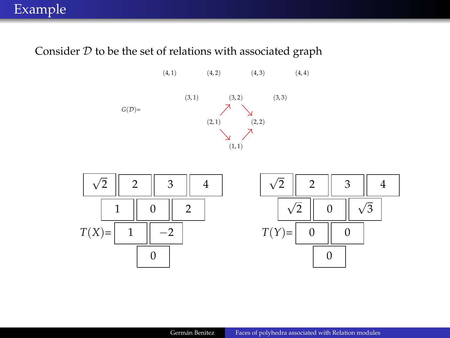#### Consider  $D$  to be the set of relations with associated graph



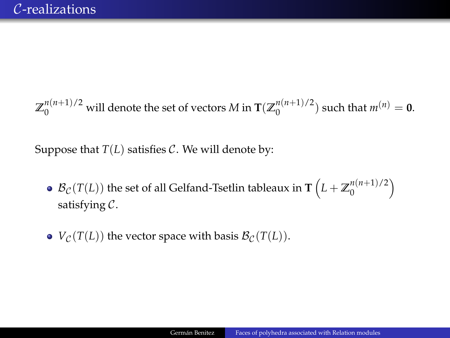$\mathbb{Z}_0^{n(n+1)/2}$  will denote the set of vectors *M* in  $\mathbf{T}(\mathbb{Z}_0^{n(n+1)/2})$  $\binom{n(n+1)}{2}$  such that  $m^{(n)} = 0$ .

Suppose that  $T(L)$  satisfies  $C$ . We will denote by:

- $\mathcal{B}_{\mathcal{C}}(T(L))$  the set of all Gelfand-Tsetlin tableaux in  $\textbf{T}\left(L + \mathbb{Z}_{0}^{n(n+1)/2}\right)$  $\binom{n(n+1)/2}{0}$ satisfying C.
- $V_c(T(L))$  the vector space with basis  $\mathcal{B}_c(T(L))$ .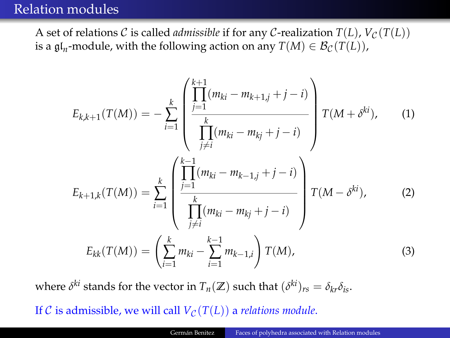## Relation modules

A set of relations C is called *admissible* if for any C-realization  $T(L)$ ,  $V_C(T(L))$ is a  $\mathfrak{gl}_n$ -module, with the following action on any  $T(M) \in \mathcal{B}_{\mathcal{C}}(T(L)),$ 

$$
E_{k,k+1}(T(M)) = -\sum_{i=1}^{k} \left( \prod_{\substack{j=1 \ j \neq i}}^{k+1} (m_{ki} - m_{k+1,j} + j - i) \prod_{\substack{j \neq i}}^{k} (m_{ki} - m_{kj} + j - i) \right) T(M + \delta^{ki}), \quad (1)
$$
  

$$
E_{k+1,k}(T(M)) = \sum_{i=1}^{k} \left( \prod_{\substack{j=1 \ j \neq i}}^{k-1} (m_{ki} - m_{k-1,j} + j - i) \prod_{\substack{j \neq i}}^{k} (m_{ki} - m_{kj} + j - i) \prod_{\substack{j \neq i}}^{k} (M - \delta^{ki}), \quad (2)
$$
  

$$
E_{kk}(T(M)) = \left( \sum_{i=1}^{k} m_{ki} - \sum_{i=1}^{k-1} m_{k-1,i} \right) T(M), \quad (3)
$$

where  $\delta^{ki}$  stands for the vector in  $T_n(\mathbb{Z})$  such that  $(\delta^{ki})_{rs} = \delta_{kr}\delta_{is}$ .

If C is admissible, we will call  $V_c(T(L))$  a *relations module*.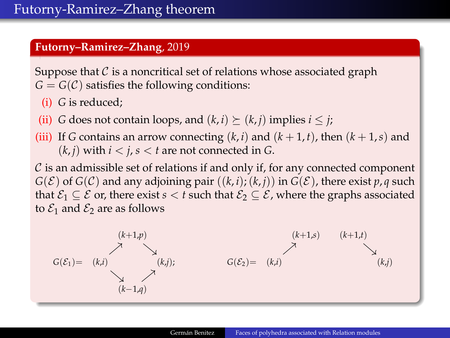#### **Futorny–Ramirez–Zhang**, 2019

Suppose that  $\mathcal C$  is a noncritical set of relations whose associated graph  $G = G(\mathcal{C})$  satisfies the following conditions:

- (i) *G* is reduced;
- (ii) *G* does not contain loops, and  $(k, i) \succeq (k, i)$  implies  $i \leq j$ ;
- (iii) If *G* contains an arrow connecting  $(k, i)$  and  $(k + 1, t)$ , then  $(k + 1, s)$  and  $(k, i)$  with  $i < j, s < t$  are not connected in G.

 $C$  is an admissible set of relations if and only if, for any connected component  $G(\mathcal{E})$  of  $G(\mathcal{C})$  and any adjoining pair  $((k, i); (k, j))$  in  $G(\mathcal{E})$ , there exist  $p, q$  such that  $\mathcal{E}_1 \subseteq \mathcal{E}$  or, there exist  $s < t$  such that  $\mathcal{E}_2 \subseteq \mathcal{E}$ , where the graphs associated to  $\mathcal{E}_1$  and  $\mathcal{E}_2$  are as follows

$$
G(\mathcal{E}_1) = \begin{pmatrix} (k+1,p) & & & & (k+1,s) & (k+1,t) \\ & \nearrow & & & & (k,t) \\ & & \searrow & & & \nearrow & & & \\ & & & (k,j) & & & & & \\ & & & & & & & (k,j) \\ & & & & & & & & (k,j) \\ & & & & & & & & (k,j) \\ & & & & & & & & (k,j) \\ & & & & & & & & (k,j) \\ & & & & & & & & (k,j) \\ & & & & & & & & (k,j) \\ & & & & & & & & (k,j) \\ & & & & & & & & (k,j) \\ & & & & & & & & (k,j) \\ & & & & & & & & (k,j) \\ & & & & & & & & (k,j) \\ & & & & & & & & (k,j) \\ & & & & & & & & (k,j) \\ & & & & & & & & (k,j) \\ & & & & & & & & (k,j) \\ & & & & & & & & (k,j) \\ & & & & & & & & (k,j) \\ & & & & & & & & (k,j) \\ & & & & & & & & (k,j) \\ & & & & & & & & (k,j) \\ & & & & & & & & (k,j) \\ & & & & & & & & (k,j) \\ & & & & & & & & (k,j) \\ & & & & & & & & & (k,j) \\ & & & & & & & & & (k,j) \\ & & & & & & & & & (k,j) \\ & & & & & & & & & (k,j) \\ & & & & & & & & & (k,j) \\ & & & & & & & & & (k,j) \\ & & & & & & & & & (k,j) \\ & & & & & & & & & (k,j) \\ & & & & & & & & & (k,j) \\ & & & & & & & & & (k,j) \\ & & & & & & & & & (k,j) \\ & & & & & & & & & (k,j) \\ & & & & & & & & & (k,j) \\ & & & & & & & & & (k,j) \\ & & & & & & & & & (k,j) \\ & & & & & & & & & (k,j) \\ & & & & & & & & & (k,j) \\ & & & & & & & & & (k,j) \\ & & & & & & & & & (k,j) \\ & & & & & & & & & (k,j) \\ & & & & & & & & & (k,j) \\ & & & & & & & & & & (k,j) \\ & & & & & & & & & & (k,j) \\ & & & & & & & & & & (k,j) \\ & & & & & & & & & & (k,j) \\ & & & & & & & & & & (k,j
$$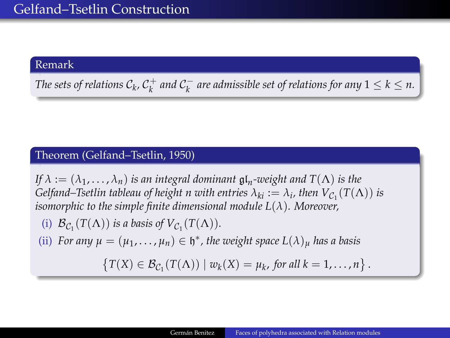#### Remark

*The sets of relations*  $C_k$ *,*  $C_k^+$  *and*  $C_k^-$  *are admissible set of relations for any*  $1 \leq k \leq n$ *.* 

#### Theorem (Gelfand–Tsetlin, 1950)

*If*  $\lambda := (\lambda_1, \ldots, \lambda_n)$  *is an integral dominant*  $\mathfrak{gl}_n$ -weight and  $T(\Lambda)$  *is the Gelfand–Tsetlin tableau of height n with entries*  $\lambda_{ki} := \lambda_i$ *, then*  $V_{\mathcal{C}_1}(T(\Lambda))$  *is isomorphic to the simple finite dimensional module L*(*λ*)*. Moreover,*

- (i)  $\mathcal{B}_{\mathcal{C}_1}(T(\Lambda))$  *is a basis of*  $V_{\mathcal{C}_1}(T(\Lambda))$ *.*
- (ii) *For any*  $\mu = (\mu_1, \dots, \mu_n) \in \mathfrak{h}^*$ , the weight space  $L(\lambda)_{\mu}$  has a basis

$$
\{T(X)\in \mathcal{B}_{\mathcal{C}_1}(T(\Lambda))\mid w_k(X)=\mu_k, \text{ for all }k=1,\ldots,n\}.
$$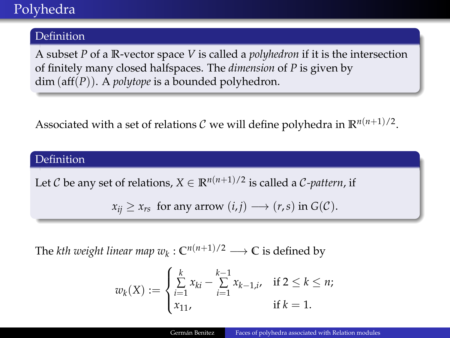## Polyhedra

#### **Definition**

A subset *P* of a **R**-vector space *V* is called a *polyhedron* if it is the intersection of finitely many closed halfspaces. The *dimension* of *P* is given by dim (aff(*P*)). A *polytope* is a bounded polyhedron.

Associated with a set of relations  $\mathcal C$  we will define polyhedra in  $\mathbb R^{n(n+1)/2}$ .

#### **Definition**

Let C be any set of relations,  $X \in \mathbb{R}^{n(n+1)/2}$  is called a C-pattern, if

 $x_{ii} \ge x_{rs}$  for any arrow  $(i, j) \longrightarrow (r, s)$  in  $G(C)$ .

The *kth weight linear map*  $w_k: \mathbb{C}^{n(n+1)/2} \longrightarrow \mathbb{C}$  *is defined by* 

$$
w_k(X) := \begin{cases} \sum_{i=1}^k x_{ki} - \sum_{i=1}^{k-1} x_{k-1,i}, & \text{if } 2 \le k \le n; \\ x_{11}, & \text{if } k = 1. \end{cases}
$$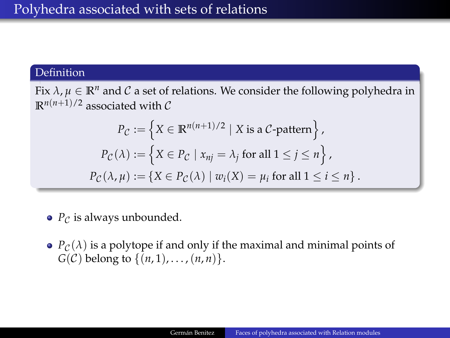#### Definition

Fix  $\lambda$ ,  $\mu \in \mathbb{R}^n$  and C a set of relations. We consider the following polyhedra in  $\mathbb{R}^{n(n+1)/2}$  associated with C

$$
P_{\mathcal{C}} := \left\{ X \in \mathbb{R}^{n(n+1)/2} \mid X \text{ is a } \mathcal{C}\text{-pattern} \right\},
$$
  

$$
P_{\mathcal{C}}(\lambda) := \left\{ X \in P_{\mathcal{C}} \mid x_{nj} = \lambda_j \text{ for all } 1 \le j \le n \right\},
$$
  

$$
P_{\mathcal{C}}(\lambda, \mu) := \left\{ X \in P_{\mathcal{C}}(\lambda) \mid w_i(X) = \mu_i \text{ for all } 1 \le i \le n \right\}.
$$

- $\bullet$  *P*<sup>c</sup> is always unbounded.
- $P_c(\lambda)$  is a polytope if and only if the maximal and minimal points of  $G(\mathcal{C})$  belong to  $\{(n, 1), \ldots, (n, n)\}.$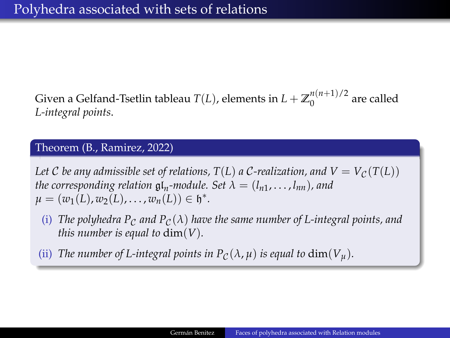Given a Gelfand-Tsetlin tableau  $T(L)$ , elements in  $L + \mathbb{Z}_0^{n(n+1)/2}$  $0^{(n+1)/2}$  are called *L-integral points*.

#### Theorem (B., Ramirez, 2022)

*Let* C *be any admissible set of relations,*  $T(L)$  *a* C-realization, and  $V = V_C(T(L))$ *the corresponding relation*  $\mathfrak{gl}_n$ -module. Set  $\lambda = (l_{n1}, \ldots, l_{nn})$ , and  $\mu = (w_1(L), w_2(L), \ldots, w_n(L)) \in \mathfrak{h}^*.$ 

- (i) *The polyhedra P<sub>C</sub> and P<sub>C</sub>(* $\lambda$ *) have the same number of L-integral points, and this number is equal to*  $dim(V)$ *.*
- (ii) *The number of L-integral points in*  $P_C(\lambda, \mu)$  *is equal to*  $\dim(V_{\mu})$ *.*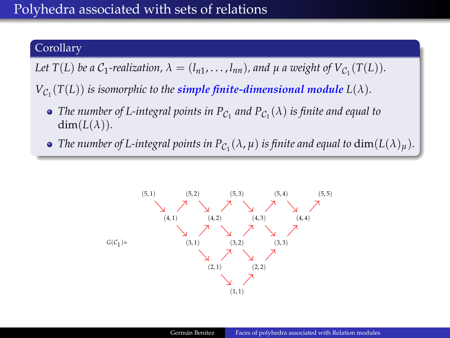## Polyhedra associated with sets of relations

### Corollary

Let  $T(L)$  be a  $C_1$ -realization,  $\lambda = (l_{n1}, \ldots, l_{nn})$ , and  $\mu$  a weight of  $V_{C_1}(T(L))$ .

 $V_{\mathcal{C}_1}(T(L))$  is isomorphic to the  $\boldsymbol{simple}$  finite-dimensional module  $L(\lambda)$ .

- *The number of L-integral points in*  $P_{\mathcal{C}_1}$  *and*  $P_{\mathcal{C}_1}(\lambda)$  *is finite and equal to*  $dim(L(\lambda)).$
- The number of L-integral points in  $P_{\mathcal{C}_1}(\lambda,\mu)$  is finite and equal to  $\dim(L(\lambda)_\mu).$

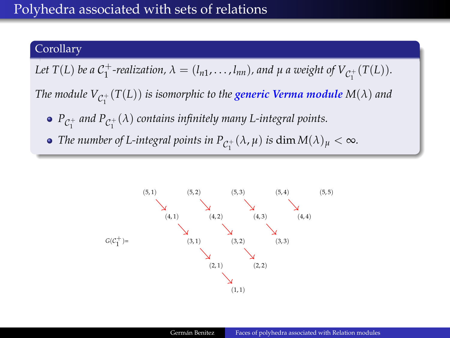#### Corollary

Let  $T(L)$  be a  $C_1^+$ -realization,  $\lambda = (l_{n1}, \ldots, l_{nn})$ , and  $\mu$  a weight of  $V_{C_1^+}(T(L))$ .

The module  $V_{\mathcal{C}^+_1}(T(L))$  is isomorphic to the  $g$ eneric Verma module  $M(\lambda)$  and

- $P_{\mathcal{C}_1^+}$  and  $P_{\mathcal{C}_1^+}(\lambda)$  contains infinitely many L-integral points.
- *The number of L-integral points in*  $P_{\mathcal{C}_1^+}(\lambda, \mu)$  *<i>is*  $\dim M(\lambda)_\mu < \infty$ *.*

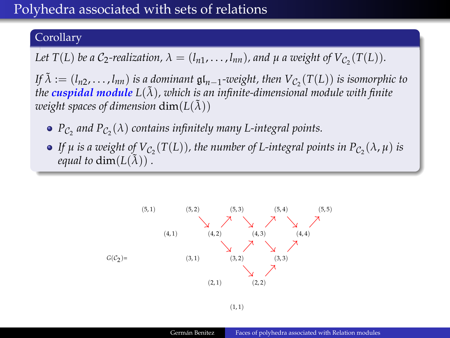## Polyhedra associated with sets of relations

#### Corollary

Let  $T(L)$  be a  $C_2$ -realization,  $\lambda = (l_{n1}, \ldots, l_{nn})$ , and  $\mu$  a weight of  $V_{C_2}(T(L))$ .

*If*  $\tilde{\lambda}$  := ( $l_{n2}, \ldots, l_{nn}$ ) *is a dominant*  $\mathfrak{gl}_{n-1}$ -weight, then  $V_{\mathcal{C}_2}(T(L))$  *is isomorphic to the cuspidal module*  $L(\tilde{\lambda})$ *, which is an infinite-dimensional module with finite weight spaces of dimension*  $\dim(L(\tilde{\lambda}))$ 

- $P_{\mathcal{C}_2}$  and  $P_{\mathcal{C}_2}(\lambda)$  contains infinitely many L-integral points.
- *If*  $\mu$  *is a weight of*  $V_{\mathcal{C}_2}(T(L))$ *, the number of L-integral points in*  $P_{\mathcal{C}_2}(\lambda,\mu)$  *is equal to* dim $(L(\tilde{\lambda}))$ .

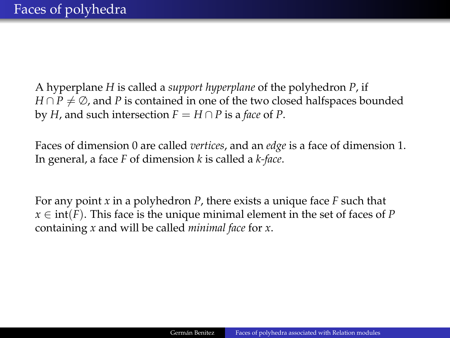A hyperplane *H* is called a *support hyperplane* of the polyhedron *P*, if *H* ∩ *P*  $\neq$  ⊘, and *P* is contained in one of the two closed halfspaces bounded by *H*, and such intersection  $F = H \cap P$  is a *face* of *P*.

Faces of dimension 0 are called *vertices*, and an *edge* is a face of dimension 1. In general, a face *F* of dimension *k* is called a *k-face*.

For any point *x* in a polyhedron *P*, there exists a unique face *F* such that  $x \in \text{int}(F)$ . This face is the unique minimal element in the set of faces of *P* containing *x* and will be called *minimal face* for *x*.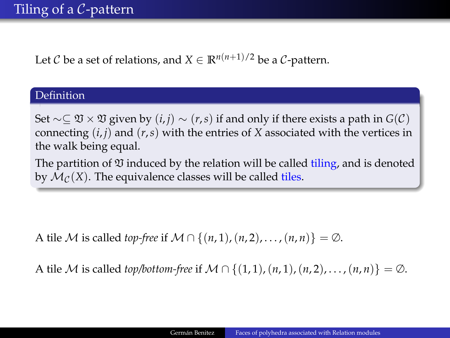Let C be a set of relations, and  $X \in \mathbb{R}^{n(n+1)/2}$  be a C-pattern.

#### Definition

Set ∼⊆ V × V given by (*i*, *j*) ∼ (*r*,*s*) if and only if there exists a path in *G*(C) connecting (*i*, *j*) and (*r*,*s*) with the entries of *X* associated with the vertices in the walk being equal.

The partition of  $\mathfrak V$  induced by the relation will be called tiling, and is denoted by  $\mathcal{M}_{\mathcal{C}}(X)$ . The equivalence classes will be called tiles.

A tile M is called *top-free* if  $M \cap \{(n, 1), (n, 2), \ldots, (n, n)\} = \emptyset$ .

A tile M is called *top/bottom-free* if  $M \cap \{(1,1), (n, 1), (n, 2), \ldots, (n, n)\} = \emptyset$ .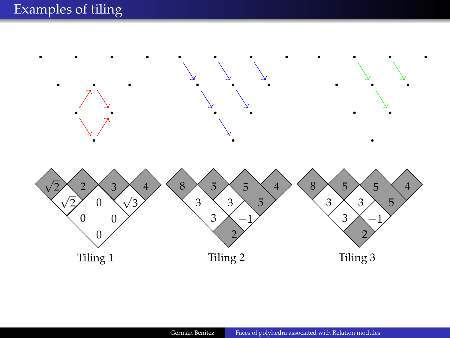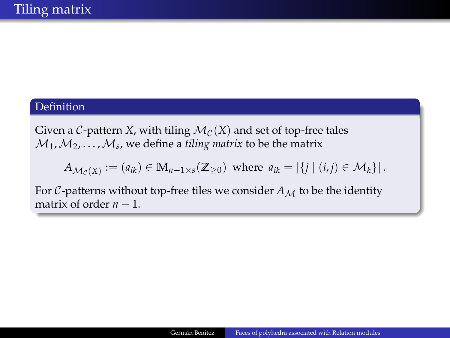#### **Definition**

Given a *C*-pattern *X*, with tiling  $\mathcal{M}_{\mathcal{C}}(X)$  and set of top-free tales  $\mathcal{M}_1, \mathcal{M}_2, \ldots, \mathcal{M}_s$ , we define a *tiling matrix* to be the matrix

$$
A_{\mathcal{M}_{\mathcal{C}}(X)} := (a_{ik}) \in \mathbb{M}_{n-1 \times s}(\mathbb{Z}_{\geq 0}) \text{ where } a_{ik} = |\{j \mid (i,j) \in \mathcal{M}_k\}|.
$$

For C-patterns without top-free tiles we consider  $A_M$  to be the identity matrix of order  $n - 1$ .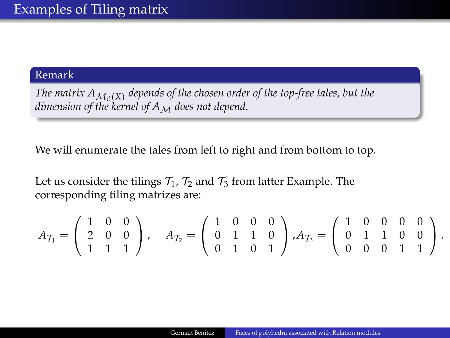#### Remark

The matrix  $A_{\mathcal{M}_{\mathcal{C}}(X)}$  depends of the chosen order of the top-free tales, but the *dimension of the kernel of A<sub>M</sub> does not depend.* 

We will enumerate the tales from left to right and from bottom to top.

Let us consider the tilings  $\mathcal{T}_1$ ,  $\mathcal{T}_2$  and  $\mathcal{T}_3$  from latter Example. The corresponding tiling matrizes are:

$$
A_{\mathcal{T}_1} = \left( \begin{array}{ccc} 1 & 0 & 0 \\ 2 & 0 & 0 \\ 1 & 1 & 1 \end{array} \right), \quad A_{\mathcal{T}_2} = \left( \begin{array}{ccc} 1 & 0 & 0 & 0 \\ 0 & 1 & 1 & 0 \\ 0 & 1 & 0 & 1 \end{array} \right), A_{\mathcal{T}_3} = \left( \begin{array}{ccc} 1 & 0 & 0 & 0 & 0 \\ 0 & 1 & 1 & 0 & 0 \\ 0 & 0 & 0 & 1 & 1 \end{array} \right).
$$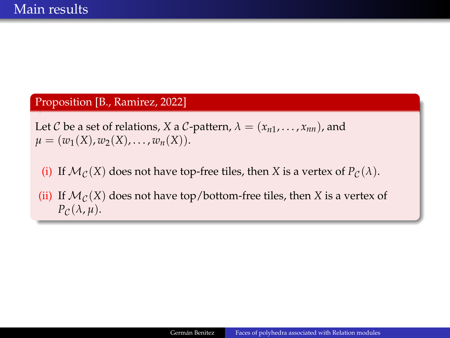#### Proposition [B., Ramirez, 2022]

Let C be a set of relations, *X* a C-pattern,  $\lambda = (x_{n1}, \ldots, x_{nn})$ , and  $\mu = (\omega_1(X), \omega_2(X), \ldots, \omega_n(X)).$ 

- (i) If  $\mathcal{M}_{\mathcal{C}}(X)$  does not have top-free tiles, then *X* is a vertex of  $P_{\mathcal{C}}(\lambda)$ .
- (ii) If  $\mathcal{M}_{\mathcal{C}}(X)$  does not have top/bottom-free tiles, then *X* is a vertex of  $P_{\mathcal{C}}(\lambda, \mu).$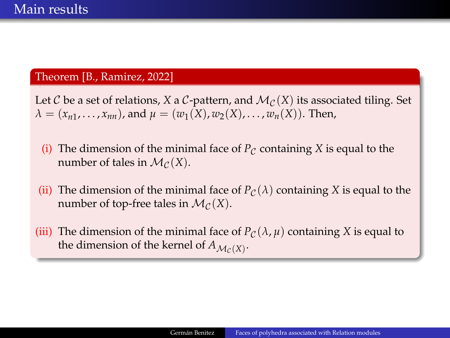#### Theorem [B., Ramirez, 2022]

Let C be a set of relations, *X* a C-pattern, and  $\mathcal{M}_{\mathcal{C}}(X)$  its associated tiling. Set  $\lambda = (x_{n1}, \dots, x_{nn})$ , and  $\mu = (w_1(X), w_2(X), \dots, w_n(X))$ . Then,

- (i) The dimension of the minimal face of  $P_C$  containing *X* is equal to the number of tales in  $\mathcal{M}_{\mathcal{C}}(X)$ .
- (ii) The dimension of the minimal face of  $P_{\mathcal{C}}(\lambda)$  containing X is equal to the number of top-free tales in  $\mathcal{M}_{\mathcal{C}}(X)$ .
- (iii) The dimension of the minimal face of  $P_C(\lambda, \mu)$  containing *X* is equal to the dimension of the kernel of  $A_{\mathcal{M}_{\mathcal{C}}(X)}$ .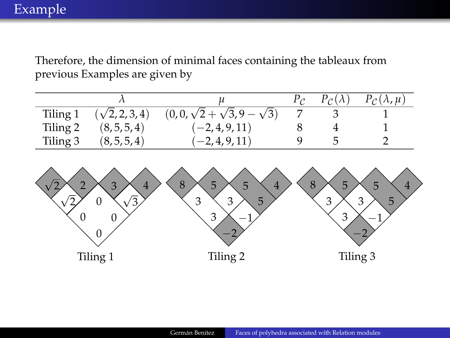Therefore, the dimension of minimal faces containing the tableaux from previous Examples are given by

|          |                       |                                      | $P_{\mathcal{C}}(\lambda)$ | $P_{\mathcal{C}}(\lambda,\mu)$ |
|----------|-----------------------|--------------------------------------|----------------------------|--------------------------------|
| Tiling 1 | $(\sqrt{2}, 2, 3, 4)$ | $(0,0,\sqrt{2}+\sqrt{3},9-\sqrt{3})$ |                            |                                |
| Tiling 2 | (8, 5, 5, 4)          | $(-2, 4, 9, 11)$                     |                            |                                |
| Tiling 3 | (8, 5, 5, 4)          | $(-2, 4, 9, 11)$                     |                            |                                |

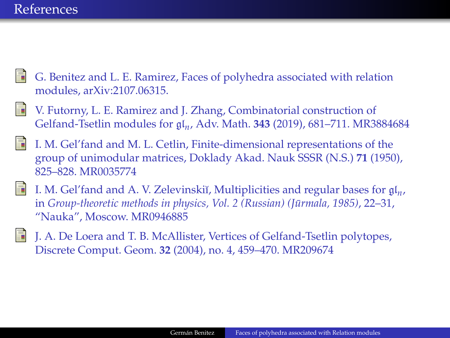### **References**

- 
- G. Benitez and L. E. Ramirez, Faces of polyhedra associated with relation modules, arXiv:2107.06315.
- V. Futorny, L. E. Ramirez and J. Zhang, Combinatorial construction of Gelfand-Tsetlin modules for gl*<sup>n</sup>* , Adv. Math. **343** (2019), 681–711. MR3884684
- I. M. Gel'fand and M. L. Cetlin, Finite-dimensional representations of the group of unimodular matrices, Doklady Akad. Nauk SSSR (N.S.) **71** (1950), 825–828. MR0035774
- I. M. Gel'fand and A. V. Zelevinskiĭ, Multiplicities and regular bases for  $\mathfrak{gl}_n$ , in *Group-theoretic methods in physics, Vol.* 2 (Russian) (Jūrmala, 1985), 22–31, "Nauka", Moscow. MR0946885
- J. A. De Loera and T. B. McAllister, Vertices of Gelfand-Tsetlin polytopes, Discrete Comput. Geom. **32** (2004), no. 4, 459–470. MR209674